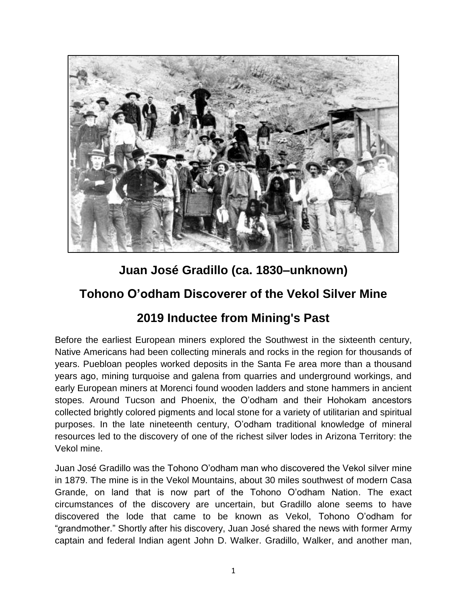

## **Juan José Gradillo (ca. 1830–unknown)**

## **Tohono O'odham Discoverer of the Vekol Silver Mine**

## **2019 Inductee from Mining's Past**

Before the earliest European miners explored the Southwest in the sixteenth century, Native Americans had been collecting minerals and rocks in the region for thousands of years. Puebloan peoples worked deposits in the Santa Fe area more than a thousand years ago, mining turquoise and galena from quarries and underground workings, and early European miners at Morenci found wooden ladders and stone hammers in ancient stopes. Around Tucson and Phoenix, the O'odham and their Hohokam ancestors collected brightly colored pigments and local stone for a variety of utilitarian and spiritual purposes. In the late nineteenth century, O'odham traditional knowledge of mineral resources led to the discovery of one of the richest silver lodes in Arizona Territory: the Vekol mine.

Juan José Gradillo was the Tohono O'odham man who discovered the Vekol silver mine in 1879. The mine is in the Vekol Mountains, about 30 miles southwest of modern Casa Grande, on land that is now part of the Tohono O'odham Nation. The exact circumstances of the discovery are uncertain, but Gradillo alone seems to have discovered the lode that came to be known as Vekol, Tohono O'odham for "grandmother." Shortly after his discovery, Juan José shared the news with former Army captain and federal Indian agent John D. Walker. Gradillo, Walker, and another man,